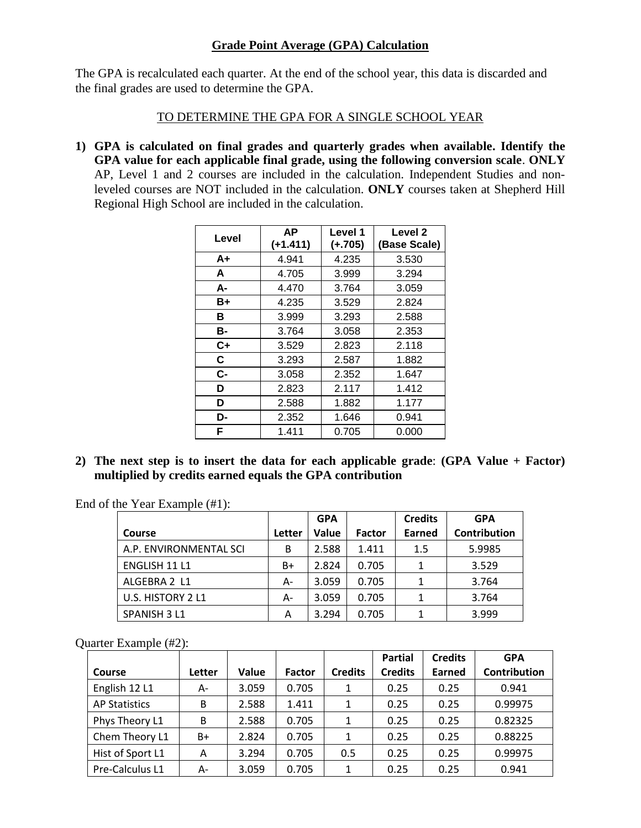## **Grade Point Average (GPA) Calculation**

The GPA is recalculated each quarter. At the end of the school year, this data is discarded and the final grades are used to determine the GPA.

## TO DETERMINE THE GPA FOR A SINGLE SCHOOL YEAR

**1) GPA is calculated on final grades and quarterly grades when available. Identify the GPA value for each applicable final grade, using the following conversion scale**. **ONLY** AP, Level 1 and 2 courses are included in the calculation. Independent Studies and nonleveled courses are NOT included in the calculation. **ONLY** courses taken at Shepherd Hill Regional High School are included in the calculation.

| Level | <b>AP</b><br>$(+1.411)$ | Level 1<br>$(+.705)$ | Level 2<br>(Base Scale) |  |
|-------|-------------------------|----------------------|-------------------------|--|
| A+    | 4.941                   | 4.235                | 3.530                   |  |
| A     | 4.705                   | 3.999                | 3.294                   |  |
| А-    | 4.470                   | 3.764                | 3.059                   |  |
| B+    | 4.235                   | 3.529                | 2.824                   |  |
| в     | 3.999                   | 3.293                | 2.588                   |  |
| В-    | 3.764                   | 3.058                | 2.353                   |  |
| $C+$  | 3.529                   | 2.823                | 2.118                   |  |
| C     | 3.293                   | 2.587                | 1.882                   |  |
| C-    | 3.058                   | 2.352                | 1.647                   |  |
| D     | 2.823                   | 2.117                | 1.412                   |  |
| D     | 2.588                   | 1.882                | 1.177                   |  |
| D-    | 2.352                   | 1.646                | 0.941                   |  |
| F     | 1.411                   | 0.705                | 0.000                   |  |

**2) The next step is to insert the data for each applicable grade**: **(GPA Value + Factor) multiplied by credits earned equals the GPA contribution**

End of the Year Example (#1):

|                        |        | <b>GPA</b> |               | <b>Credits</b> | <b>GPA</b>   |
|------------------------|--------|------------|---------------|----------------|--------------|
| <b>Course</b>          | Letter | Value      | <b>Factor</b> | Earned         | Contribution |
| A.P. ENVIRONMENTAL SCI | B      | 2.588      | 1.411         | 1.5            | 5.9985       |
| ENGLISH 11 L1          | B+     | 2.824      | 0.705         | 1              | 3.529        |
| ALGEBRA 2 L1           | А-     | 3.059      | 0.705         | 1              | 3.764        |
| U.S. HISTORY 2 L1      | А-     | 3.059      | 0.705         | 1              | 3.764        |
| SPANISH 3 L1           | A      | 3.294      | 0.705         |                | 3.999        |

Quarter Example (#2):

|                      |        |       |               |                | <b>Partial</b> | <b>Credits</b> | <b>GPA</b>          |
|----------------------|--------|-------|---------------|----------------|----------------|----------------|---------------------|
| Course               | Letter | Value | <b>Factor</b> | <b>Credits</b> | <b>Credits</b> | Earned         | <b>Contribution</b> |
| English 12 L1        | $A-$   | 3.059 | 0.705         |                | 0.25           | 0.25           | 0.941               |
| <b>AP Statistics</b> | B      | 2.588 | 1.411         | 1              | 0.25           | 0.25           | 0.99975             |
| Phys Theory L1       | B      | 2.588 | 0.705         | 1              | 0.25           | 0.25           | 0.82325             |
| Chem Theory L1       | B+     | 2.824 | 0.705         | 1              | 0.25           | 0.25           | 0.88225             |
| Hist of Sport L1     | A      | 3.294 | 0.705         | 0.5            | 0.25           | 0.25           | 0.99975             |
| Pre-Calculus L1      | А-     | 3.059 | 0.705         | 1              | 0.25           | 0.25           | 0.941               |